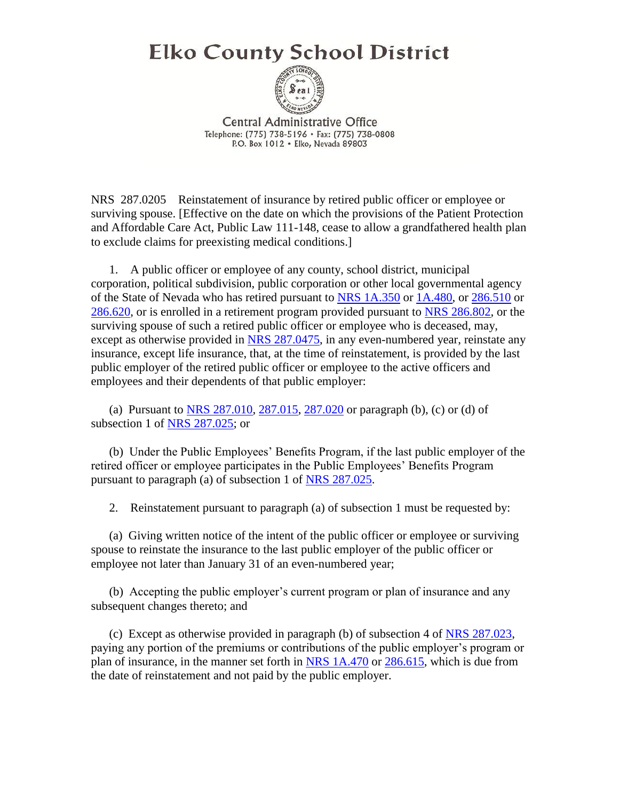## **Elko County School District**



**Central Administrative Office** Telephone: (775) 738-5196 · Fax: (775) 738-0808 P.O. Box 1012 . Elko, Nevada 89803

NRS 287.0205 Reinstatement of insurance by retired public officer or employee or surviving spouse. [Effective on the date on which the provisions of the Patient Protection and Affordable Care Act, Public Law 111-148, cease to allow a grandfathered health plan to exclude claims for preexisting medical conditions.]

 1. A public officer or employee of any county, school district, municipal corporation, political subdivision, public corporation or other local governmental agency of the State of Nevada who has retired pursuant to [NRS 1A.350](https://www.leg.state.nv.us/nrs/NRS-001A.html#NRS001ASec350) or [1A.480,](https://www.leg.state.nv.us/nrs/NRS-001A.html#NRS001ASec480) or [286.510](https://www.leg.state.nv.us/nrs/NRS-286.html#NRS286Sec510) or [286.620,](https://www.leg.state.nv.us/nrs/NRS-286.html#NRS286Sec620) or is enrolled in a retirement program provided pursuant to [NRS 286.802,](https://www.leg.state.nv.us/nrs/NRS-286.html#NRS286Sec802) or the surviving spouse of such a retired public officer or employee who is deceased, may, except as otherwise provided in [NRS 287.0475,](https://www.leg.state.nv.us/nrs/NRS-287.html#NRS287Sec0475) in any even-numbered year, reinstate any insurance, except life insurance, that, at the time of reinstatement, is provided by the last public employer of the retired public officer or employee to the active officers and employees and their dependents of that public employer:

 (a) Pursuant to [NRS 287.010,](https://www.leg.state.nv.us/nrs/NRS-287.html#NRS287Sec010) [287.015,](https://www.leg.state.nv.us/nrs/NRS-287.html#NRS287Sec015) [287.020](https://www.leg.state.nv.us/nrs/NRS-287.html#NRS287Sec020) or paragraph (b), (c) or (d) of subsection 1 of [NRS 287.025;](https://www.leg.state.nv.us/nrs/NRS-287.html#NRS287Sec025) or

 (b) Under the Public Employees' Benefits Program, if the last public employer of the retired officer or employee participates in the Public Employees' Benefits Program pursuant to paragraph (a) of subsection 1 of [NRS 287.025.](https://www.leg.state.nv.us/nrs/NRS-287.html#NRS287Sec025)

2. Reinstatement pursuant to paragraph (a) of subsection 1 must be requested by:

 (a) Giving written notice of the intent of the public officer or employee or surviving spouse to reinstate the insurance to the last public employer of the public officer or employee not later than January 31 of an even-numbered year;

 (b) Accepting the public employer's current program or plan of insurance and any subsequent changes thereto; and

 (c) Except as otherwise provided in paragraph (b) of subsection 4 of [NRS 287.023,](https://www.leg.state.nv.us/nrs/NRS-287.html#NRS287Sec023) paying any portion of the premiums or contributions of the public employer's program or plan of insurance, in the manner set forth in [NRS 1A.470](https://www.leg.state.nv.us/nrs/NRS-001A.html#NRS001ASec470) or [286.615,](https://www.leg.state.nv.us/nrs/NRS-286.html#NRS286Sec615) which is due from the date of reinstatement and not paid by the public employer.